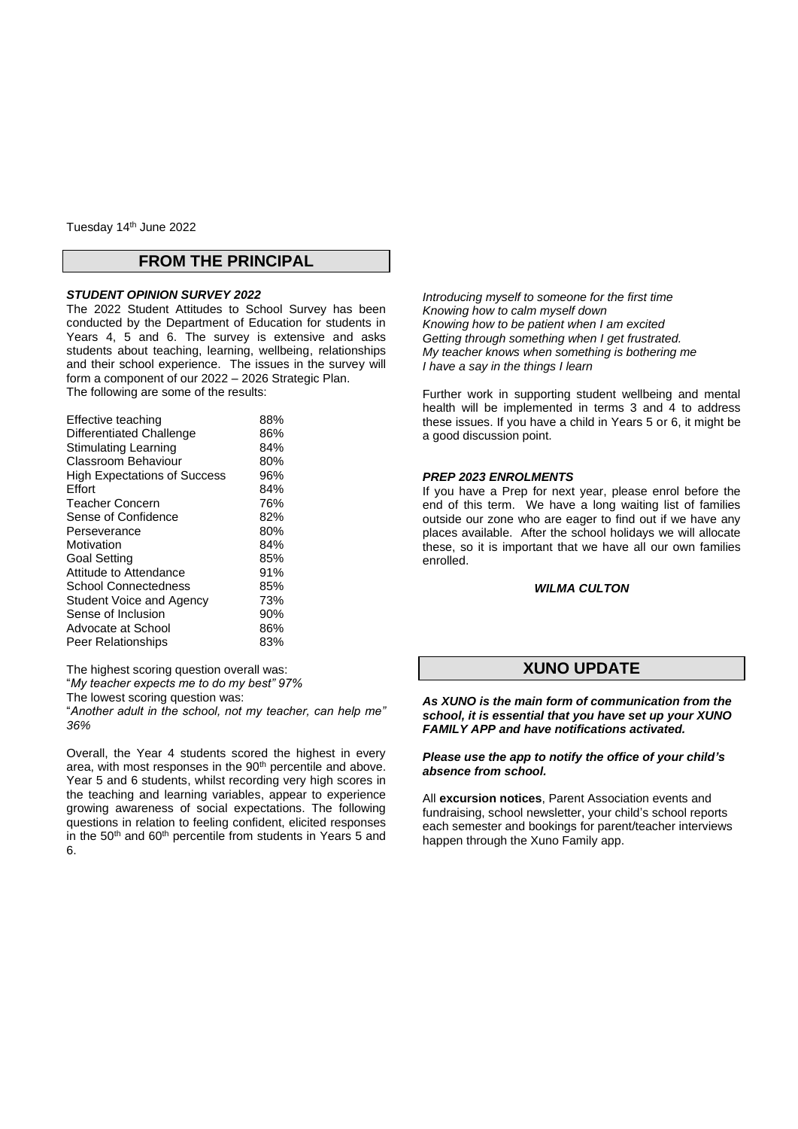Tuesday 14th June 2022

### **FROM THE PRINCIPAL**

#### *STUDENT OPINION SURVEY 2022*

The 2022 Student Attitudes to School Survey has been conducted by the Department of Education for students in Years 4, 5 and 6. The survey is extensive and asks students about teaching, learning, wellbeing, relationships and their school experience. The issues in the survey will form a component of our 2022 – 2026 Strategic Plan. The following are some of the results:

| Effective teaching                  | 88% |
|-------------------------------------|-----|
| Differentiated Challenge            | 86% |
| <b>Stimulating Learning</b>         | 84% |
| Classroom Behaviour                 | 80% |
| <b>High Expectations of Success</b> | 96% |
| Effort                              | 84% |
| Teacher Concern                     | 76% |
| Sense of Confidence                 | 82% |
| Perseverance                        | 80% |
| Motivation                          | 84% |
| Goal Setting                        | 85% |
| Attitude to Attendance              | 91% |
| <b>School Connectedness</b>         | 85% |
| Student Voice and Agency            | 73% |
| Sense of Inclusion                  | 90% |
| Advocate at School                  | 86% |
| <b>Peer Relationships</b>           | 83% |
|                                     |     |

The highest scoring question overall was: "*My teacher expects me to do my best" 97%* The lowest scoring question was:

"*Another adult in the school, not my teacher, can help me" 36%* 

Overall, the Year 4 students scored the highest in every area, with most responses in the 90<sup>th</sup> percentile and above. Year 5 and 6 students, whilst recording very high scores in the teaching and learning variables, appear to experience growing awareness of social expectations. The following questions in relation to feeling confident, elicited responses in the 50<sup>th</sup> and 60<sup>th</sup> percentile from students in Years 5 and 6.

*Introducing myself to someone for the first time Knowing how to calm myself down Knowing how to be patient when I am excited Getting through something when I get frustrated. My teacher knows when something is bothering me I have a say in the things I learn*

Further work in supporting student wellbeing and mental health will be implemented in terms 3 and 4 to address these issues. If you have a child in Years 5 or 6, it might be a good discussion point.

#### *PREP 2023 ENROLMENTS*

If you have a Prep for next year, please enrol before the end of this term. We have a long waiting list of families outside our zone who are eager to find out if we have any places available. After the school holidays we will allocate these, so it is important that we have all our own families enrolled.

#### *WILMA CULTON*

## **XUNO UPDATE**

*As XUNO is the main form of communication from the school, it is essential that you have set up your XUNO FAMILY APP and have notifications activated.*

#### *Please use the app to notify the office of your child's absence from school.*

All **excursion notices**, Parent Association events and fundraising, school newsletter, your child's school reports each semester and bookings for parent/teacher interviews happen through the Xuno Family app.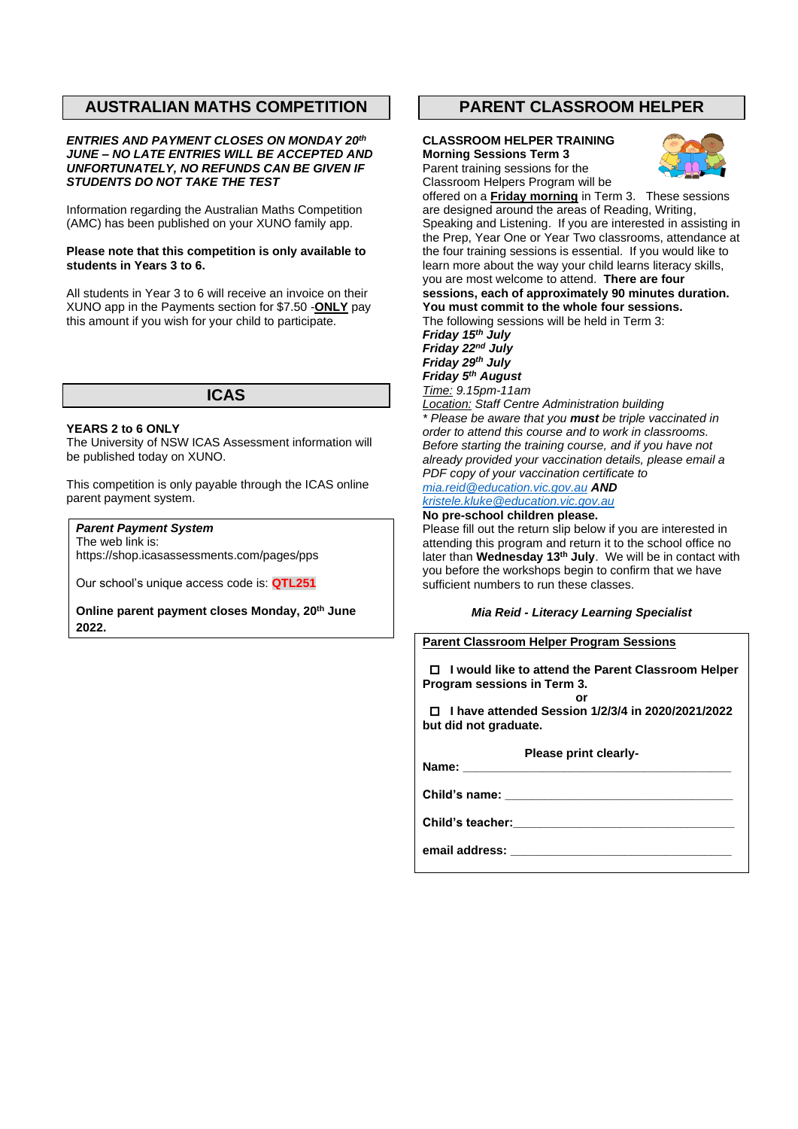## **AUSTRALIAN MATHS COMPETITION**

#### *ENTRIES AND PAYMENT CLOSES ON MONDAY 20th JUNE – NO LATE ENTRIES WILL BE ACCEPTED AND UNFORTUNATELY, NO REFUNDS CAN BE GIVEN IF STUDENTS DO NOT TAKE THE TEST*

Information regarding the Australian Maths Competition (AMC) has been published on your XUNO family app.

#### **Please note that this competition is only available to students in Years 3 to 6.**

All students in Year 3 to 6 will receive an invoice on their XUNO app in the Payments section for \$7.50 -**ONLY** pay this amount if you wish for your child to participate.

# **ICAS**

#### **YEARS 2 to 6 ONLY**

The University of NSW ICAS Assessment information will be published today on XUNO.

This competition is only payable through the ICAS online parent payment system.

## *Parent Payment System*

The web link is: https://shop.icasassessments.com/pages/pps

Our school's unique access code is: **QTL251**

**Online parent payment closes Monday, 20 th June 2022.**

## **PARENT CLASSROOM HELPER**

#### **CLASSROOM HELPER TRAINING Morning Sessions Term 3** Parent training sessions for the



Classroom Helpers Program will be offered on a **Friday morning** in Term 3. These sessions are designed around the areas of Reading, Writing, Speaking and Listening. If you are interested in assisting in the Prep, Year One or Year Two classrooms, attendance at the four training sessions is essential. If you would like to learn more about the way your child learns literacy skills, you are most welcome to attend. **There are four sessions, each of approximately 90 minutes duration. You must commit to the whole four sessions.** The following sessions will be held in Term 3: *Friday 15th July Friday 22nd July*

*Friday 29th July Friday 5th August Time: 9.15pm-11am*

*Location: Staff Centre Administration building \* Please be aware that you must be triple vaccinated in order to attend this course and to work in classrooms. Before starting the training course, and if you have not already provided your vaccination details, please email a PDF copy of your vaccination certificate to [mia.reid@education.vic.gov.au](mailto:mia.reid@education.vic.gov.au) AND [kristele.kluke@education.vic.gov.au](mailto:kristele.kluke@education.vic.gov.au)*

#### **No pre-school children please.**

Please fill out the return slip below if you are interested in attending this program and return it to the school office no later than **Wednesday 13th July**. We will be in contact with you before the workshops begin to confirm that we have sufficient numbers to run these classes.

#### *Mia Reid - Literacy Learning Specialist*

### **Parent Classroom Helper Program Sessions**

 **I would like to attend the Parent Classroom Helper Program sessions in Term 3. or**

 **I have attended Session 1/2/3/4 in 2020/2021/2022 but did not graduate.** 

**Please print clearly-Name: \_\_\_\_\_\_\_\_\_\_\_\_\_\_\_\_\_\_\_\_\_\_\_\_\_\_\_\_\_\_\_\_\_\_\_\_\_\_\_\_**

**Child's name: \_\_\_\_\_\_\_\_\_\_\_\_\_\_\_\_\_\_\_\_\_\_\_\_\_\_\_\_\_\_\_\_\_\_**

**Child's teacher:\_\_\_\_\_\_\_\_\_\_\_\_\_\_\_\_\_\_\_\_\_\_\_\_\_\_\_\_\_\_\_\_\_**

**email address: \_\_\_\_\_\_\_\_\_\_\_\_\_\_\_\_\_\_\_\_\_\_\_\_\_\_\_\_\_\_\_\_\_**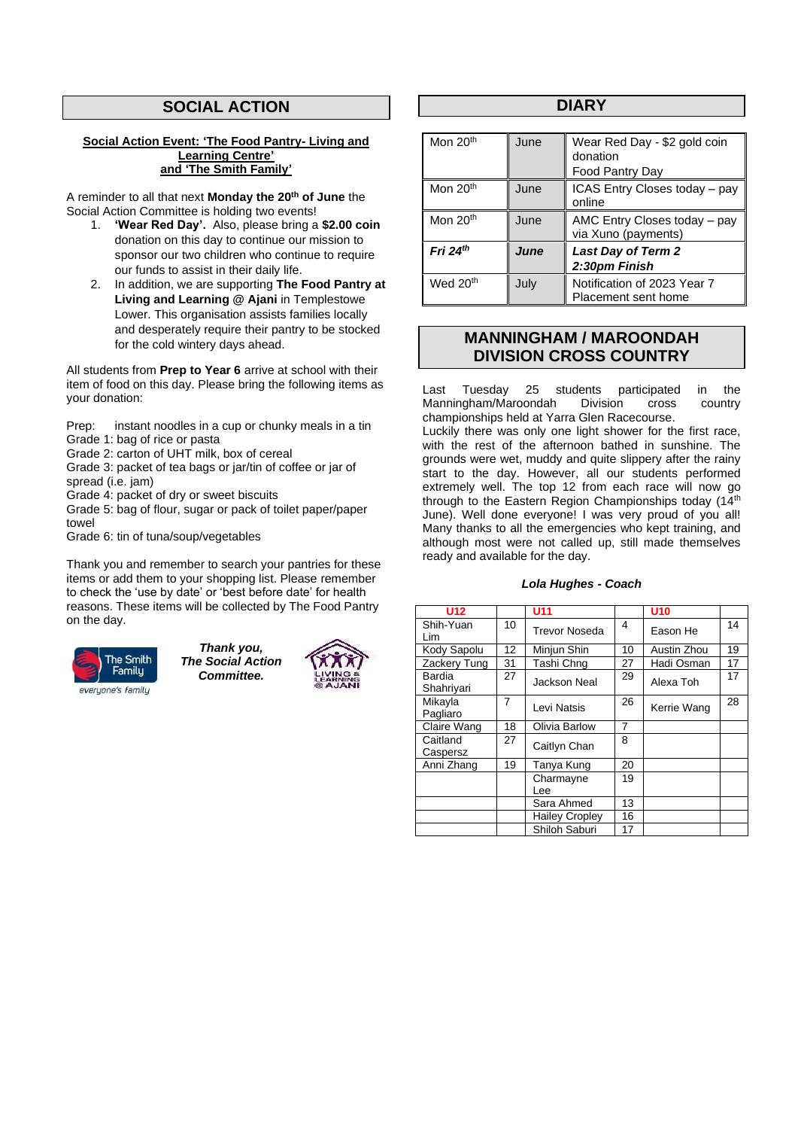# **SOCIAL ACTION**

#### **Social Action Event: 'The Food Pantry- Living and Learning Centre' and 'The Smith Family'**

A reminder to all that next **Monday the 20th of June** the Social Action Committee is holding two events!

- 1. **'Wear Red Day'.** Also, please bring a **\$2.00 coin** donation on this day to continue our mission to sponsor our two children who continue to require our funds to assist in their daily life.
- 2. In addition, we are supporting **The Food Pantry at Living and Learning @ Ajani** in Templestowe Lower. This organisation assists families locally and desperately require their pantry to be stocked for the cold wintery days ahead.

All students from **Prep to Year 6** arrive at school with their item of food on this day. Please bring the following items as your donation:

Prep: instant noodles in a cup or chunky meals in a tin Grade 1: bag of rice or pasta

Grade 2: carton of UHT milk, box of cereal

Grade 3: packet of tea bags or jar/tin of coffee or jar of spread (i.e. jam)

Grade 4: packet of dry or sweet biscuits

Grade 5: bag of flour, sugar or pack of toilet paper/paper towel

Grade 6: tin of tuna/soup/vegetables

Thank you and remember to search your pantries for these items or add them to your shopping list. Please remember to check the 'use by date' or 'best before date' for health reasons. These items will be collected by The Food Pantry on the day.



*Thank you, The Social Action Committee.*



### **DIARY**

| Mon 20 <sup>th</sup> | June | Wear Red Day - \$2 gold coin<br>donation<br>Food Pantry Day |
|----------------------|------|-------------------------------------------------------------|
| Mon 20 <sup>th</sup> | June | ICAS Entry Closes today - pay<br>online                     |
| Mon 20 <sup>th</sup> | June | AMC Entry Closes today - pay<br>via Xuno (payments)         |
| Fri $24th$           | June | <b>Last Day of Term 2</b><br>2:30pm Finish                  |
| Wed 20 <sup>th</sup> | July | Notification of 2023 Year 7<br>Placement sent home          |

## **MANNINGHAM / MAROONDAH DIVISION CROSS COUNTRY**

Last Tuesday 25 students participated in the<br>Manningham/Maroondah Division cross country Manningham/Maroondah championships held at Yarra Glen Racecourse.

Luckily there was only one light shower for the first race, with the rest of the afternoon bathed in sunshine. The grounds were wet, muddy and quite slippery after the rainy start to the day. However, all our students performed extremely well. The top 12 from each race will now go through to the Eastern Region Championships today (14th June). Well done everyone! I was very proud of you all! Many thanks to all the emergencies who kept training, and although most were not called up, still made themselves ready and available for the day.

### *Lola Hughes - Coach*

| <b>U12</b>           |    | <b>U11</b>            |                | U <sub>10</sub> |    |
|----------------------|----|-----------------------|----------------|-----------------|----|
| Shih-Yuan<br>Lim     | 10 | <b>Trevor Noseda</b>  | 4              | Eason He        | 14 |
| Kody Sapolu          | 12 | Minjun Shin           | 10             | Austin Zhou     | 19 |
| Zackery Tung         | 31 | Tashi Chng            | 27             | Hadi Osman      | 17 |
| Bardia<br>Shahriyari | 27 | Jackson Neal          | 29             | Alexa Toh       | 17 |
| Mikayla<br>Pagliaro  | 7  | Levi Natsis           | 26             | Kerrie Wang     | 28 |
| Claire Wang          | 18 | Olivia Barlow         | $\overline{7}$ |                 |    |
| Caitland<br>Caspersz | 27 | Caitlyn Chan          | 8              |                 |    |
| Anni Zhang           | 19 | Tanya Kung            | 20             |                 |    |
|                      |    | Charmayne<br>Lee      | 19             |                 |    |
|                      |    | Sara Ahmed            | 13             |                 |    |
|                      |    | <b>Hailey Cropley</b> | 16             |                 |    |
|                      |    | Shiloh Saburi         | 17             |                 |    |